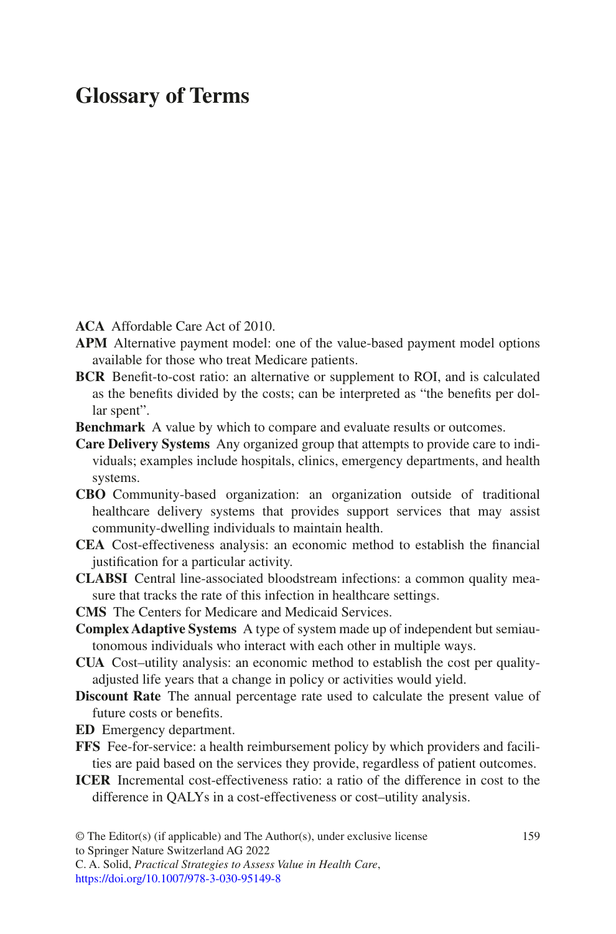## **Glossary of Terms**

**ACA** Affordable Care Act of 2010.

- **APM** Alternative payment model: one of the value-based payment model options available for those who treat Medicare patients.
- **BCR** Beneft-to-cost ratio: an alternative or supplement to ROI, and is calculated as the benefts divided by the costs; can be interpreted as "the benefts per dollar spent".
- **Benchmark** A value by which to compare and evaluate results or outcomes.
- **Care Delivery Systems** Any organized group that attempts to provide care to individuals; examples include hospitals, clinics, emergency departments, and health systems.
- **CBO** Community-based organization: an organization outside of traditional healthcare delivery systems that provides support services that may assist community-dwelling individuals to maintain health.
- **CEA** Cost-effectiveness analysis: an economic method to establish the fnancial justifcation for a particular activity.
- **CLABSI** Central line-associated bloodstream infections: a common quality measure that tracks the rate of this infection in healthcare settings.
- **CMS** The Centers for Medicare and Medicaid Services.
- **Complex Adaptive Systems** A type of system made up of independent but semiautonomous individuals who interact with each other in multiple ways.
- **CUA** Cost–utility analysis: an economic method to establish the cost per qualityadjusted life years that a change in policy or activities would yield.
- **Discount Rate** The annual percentage rate used to calculate the present value of future costs or benefts.
- **ED** Emergency department.
- **FFS** Fee-for-service: a health reimbursement policy by which providers and facilities are paid based on the services they provide, regardless of patient outcomes.
- **ICER** Incremental cost-effectiveness ratio: a ratio of the difference in cost to the difference in QALYs in a cost-effectiveness or cost–utility analysis.

<sup>©</sup> The Editor(s) (if applicable) and The Author(s), under exclusive license 159 to Springer Nature Switzerland AG 2022

C. A. Solid, *Practical Strategies to Assess Value in Health Care*, [https://doi.org/10.1007/978-3-030-95149-8](https://doi.org/10.1007/978-3-030-95149-8#DOI)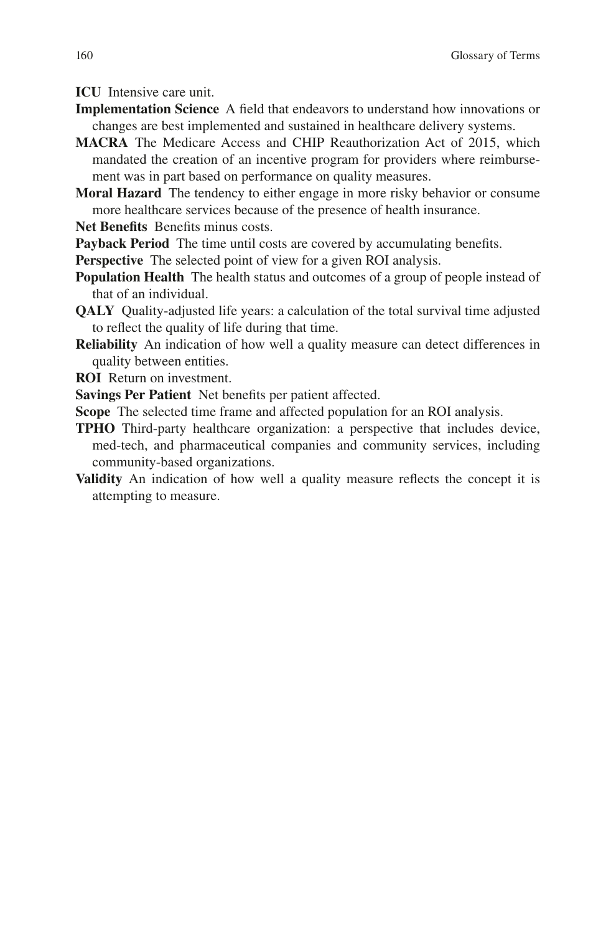**ICU** Intensive care unit.

- **Implementation Science** A feld that endeavors to understand how innovations or changes are best implemented and sustained in healthcare delivery systems.
- **MACRA** The Medicare Access and CHIP Reauthorization Act of 2015, which mandated the creation of an incentive program for providers where reimbursement was in part based on performance on quality measures.
- **Moral Hazard** The tendency to either engage in more risky behavior or consume more healthcare services because of the presence of health insurance.
- **Net Benefts** Benefts minus costs.
- **Payback Period** The time until costs are covered by accumulating benefits.
- **Perspective** The selected point of view for a given ROI analysis.
- **Population Health** The health status and outcomes of a group of people instead of that of an individual.
- **QALY** Quality-adjusted life years: a calculation of the total survival time adjusted to refect the quality of life during that time.
- **Reliability** An indication of how well a quality measure can detect differences in quality between entities.
- **ROI** Return on investment.
- **Savings Per Patient** Net benefts per patient affected.
- **Scope** The selected time frame and affected population for an ROI analysis.
- **TPHO** Third-party healthcare organization: a perspective that includes device, med-tech, and pharmaceutical companies and community services, including community-based organizations.
- **Validity** An indication of how well a quality measure refects the concept it is attempting to measure.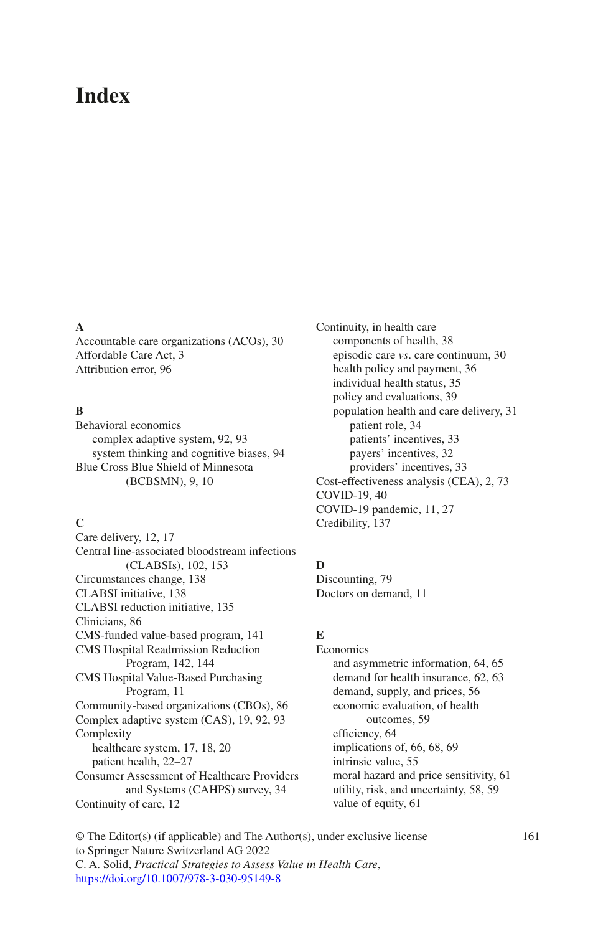# **Index**

#### **A**

Accountable care organizations (ACOs), 30 Affordable Care Act, 3 Attribution error, 96

#### **B**

Behavioral economics complex adaptive system, 92, 93 system thinking and cognitive biases, 94 Blue Cross Blue Shield of Minnesota (BCBSMN), 9, 10

#### **C**

Care delivery, 12, 17 Central line-associated bloodstream infections (CLABSIs), 102, 153 Circumstances change, 138 CLABSI initiative, 138 CLABSI reduction initiative, 135 Clinicians, 86 CMS-funded value-based program, 141 CMS Hospital Readmission Reduction Program, 142, 144 CMS Hospital Value-Based Purchasing Program, 11 Community-based organizations (CBOs), 86 Complex adaptive system (CAS), 19, 92, 93 Complexity healthcare system, 17, 18, 20 patient health, 22–27 Consumer Assessment of Healthcare Providers and Systems (CAHPS) survey, 34 Continuity of care, 12

Continuity, in health care components of health, 38 episodic care *vs*. care continuum, 30 health policy and payment, 36 individual health status, 35 policy and evaluations, 39 population health and care delivery, 31 patient role, 34 patients' incentives, 33 payers' incentives, 32 providers' incentives, 33 Cost-effectiveness analysis (CEA), 2, 73 COVID-19, 40 COVID-19 pandemic, 11, 27 Credibility, 137

#### **D**

Discounting, 79 Doctors on demand, 11

#### **E**

Economics and asymmetric information, 64, 65 demand for health insurance, 62, 63 demand, supply, and prices, 56 economic evaluation, of health outcomes, 59 efficiency, 64 implications of, 66, 68, 69 intrinsic value, 55 moral hazard and price sensitivity, 61 utility, risk, and uncertainty, 58, 59 value of equity, 61

© The Editor(s) (if applicable) and The Author(s), under exclusive license 161 to Springer Nature Switzerland AG 2022 C. A. Solid, *Practical Strategies to Assess Value in Health Care*, [https://doi.org/10.1007/978-3-030-95149-8](https://doi.org/10.1007/978-3-030-95149-8#DOI)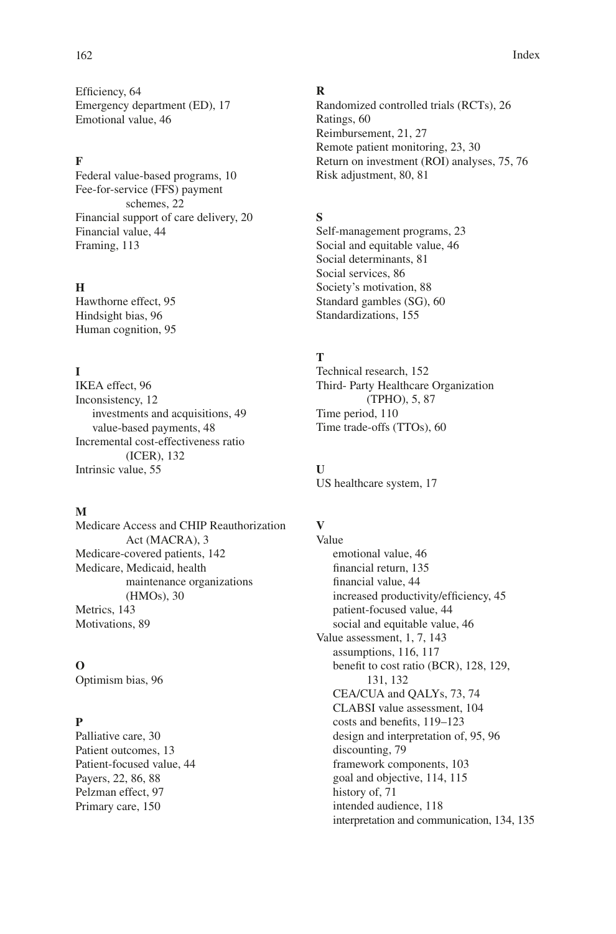Efficiency, 64 Emergency department (ED), 17 Emotional value, 46

## **F**

Federal value-based programs, 10 Fee-for-service (FFS) payment schemes, 22 Financial support of care delivery, 20 Financial value, 44 Framing, 113

#### **H**

Hawthorne effect, 95 Hindsight bias, 96 Human cognition, 95

## **I**

IKEA effect, 96 Inconsistency, 12 investments and acquisitions, 49 value-based payments, 48 Incremental cost-effectiveness ratio (ICER), 132 Intrinsic value, 55

#### **M**

Medicare Access and CHIP Reauthorization Act (MACRA), 3 Medicare-covered patients, 142 Medicare, Medicaid, health maintenance organizations (HMOs), 30 Metrics, 143 Motivations, 89

#### **O**

Optimism bias, 96

## **P**

Palliative care, 30 Patient outcomes, 13 Patient-focused value, 44 Payers, 22, 86, 88 Pelzman effect, 97 Primary care, 150

#### **R**

Randomized controlled trials (RCTs), 26 Ratings, 60 Reimbursement, 21, 27 Remote patient monitoring, 23, 30 Return on investment (ROI) analyses, 75, 76 Risk adjustment, 80, 81

#### **S**

Self-management programs, 23 Social and equitable value, 46 Social determinants, 81 Social services, 86 Society's motivation, 88 Standard gambles (SG), 60 Standardizations, 155

### **T**

Technical research, 152 Third- Party Healthcare Organization (TPHO), 5, 87 Time period, 110 Time trade-offs (TTOs), 60

**U** US healthcare system, 17

#### **V**

Value emotional value, 46 fnancial return, 135 fnancial value, 44 increased productivity/efficiency, 45 patient-focused value, 44 social and equitable value, 46 Value assessment, 1, 7, 143 assumptions, 116, 117 beneft to cost ratio (BCR), 128, 129, 131, 132 CEA/CUA and QALYs, 73, 74 CLABSI value assessment, 104 costs and benefts, 119–123 design and interpretation of, 95, 96 discounting, 79 framework components, 103 goal and objective, 114, 115 history of, 71 intended audience, 118 interpretation and communication, 134, 135